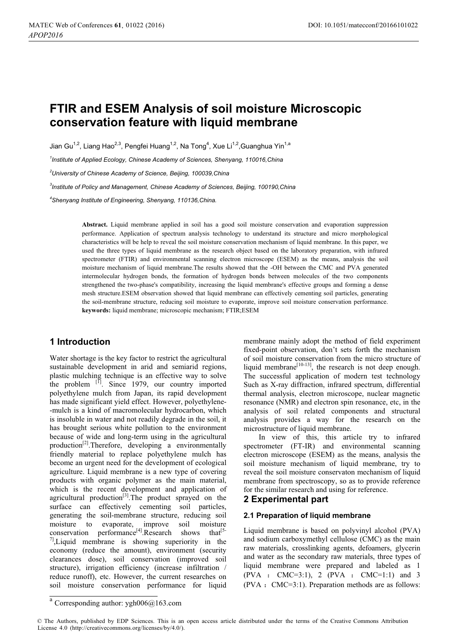# **FTIR and ESEM Analysis of soil moisture Microscopic conservation feature with liquid membrane**

Jian Gu1, Liang Hao 1, Pengfei Huang1, Na Tong1, Xue Li1, Guanghua Yin<br>J

*1 Institute of Applied Ecology, Chinese Academy of Sciences, Shenyang, 110016,China* 

*2 University of Chinese Academy of Science, Beijing, 100039,China* 

*3 Institute of Policy and Management, Chinese Academy of Sciences, Beijing, 100190,China* 

*4 Shenyang Institute of Engineering, Shenyang, 110136,China.* 

**Abstract.** Liquid membrane applied in soil has a good soil moisture conservation and evaporation suppression performance. Application of spectrum analysis technology to understand its structure and micro morphological characteristics will be help to reveal the soil moisture conservation mechanism of liquid membrane. In this paper, we used the three types of liquid membrane as the research object based on the laboratory preparation, with infrared spectrometer (FTIR) and environmental scanning electron microscope (ESEM) as the means, analysis the soil moisture mechanism of liquid membrane.The results showed that the -OH between the CMC and PVA generated intermolecular hydrogen bonds, the formation of hydrogen bonds between molecules of the two components strengthened the two-phase's compatibility, increasing the liquid membrane's effective groups and forming a dense mesh structure.ESEM observation showed that liquid membrane can effectively cementing soil particles, generating the soil-membrane structure, reducing soil moisture to evaporate, improve soil moisture conservation performance. **keywords:** liquid membrane; microscopic mechanism; FTIR;ESEM

# **1 Introduction**

Water shortage is the key factor to restrict the agricultural sustainable development in arid and semiarid regions, plastic mulching technique is an effective way to solve the problem <sup>[1]</sup>. Since 1979, our country imported polyethylene mulch from Japan, its rapid development has made significant yield effect. However, polyethylene- -mulch is a kind of macromolecular hydrocarbon, which is insoluble in water and not readily degrade in the soil, it has brought serious white pollution to the environment because of wide and long-term using in the agricultural production<sup>[2]</sup>. Therefore, developing a environmentally friendly material to replace polyethylene mulch has become an urgent need for the development of ecological agriculture. Liquid membrane is a new type of covering products with organic polymer as the main material, which is the recent development and application of agricultural production<sup>[3]</sup>.The product sprayed on the surface can effectively cementing soil particles, generating the soil-membrane structure, reducing soil moisture to evaporate, improve soil moisture conservation performance<sup>[4]</sup>.Research shows that<sup>[5-1</sup>  $7$ <sup>1</sup>, Liquid membrane is showing superiority in the economy (reduce the amount), environment (security clearances dose), soil conservation (improved soil structure), irrigation efficiency (increase infiltration / reduce runoff), etc. However, the current researches on soil moisture conservation performance for liquid

membrane mainly adopt the method of field experiment fixed-point observation, don't sets forth the mechanism of soil moisture conservation from the micro structure of liquid membrane $[10-13]$ , the research is not deep enough. The successful application of modern test technology Such as X-ray diffraction, infrared spectrum, differential thermal analysis, electron microscope, nuclear magnetic resonance (NMR) and electron spin resonance, etc, in the analysis of soil related components and structural analysis provides a way for the research on the microstructure of liquid membrane.

In view of this, this article try to infrared spectrometer (FT-IR) and environmental scanning electron microscope (ESEM) as the means, analysis the soil moisture mechanism of liquid membrane, try to reveal the soil moisture conservaton mechanism of liquid membrane from spectroscopy, so as to provide reference for the similar research and using for reference.

## **2 Experimental part**

#### **2.1 Preparation of liquid membrane**

Liquid membrane is based on polyvinyl alcohol (PVA) and sodium carboxymethyl cellulose (CMC) as the main raw materials, crosslinking agents, defoamers, glycerin and water as the secondary raw materials, three types of liquid membrane were prepared and labeled as 1  $(PVA : CMC=3:1), 2 (PVA : CMC=1:1)$  and 3 (PVA  $:$  CMC=3:1). Preparation methods are as follows:

<sup>&</sup>lt;sup>a</sup> Corresponding author: [ygh006@163.com](mailto:ygh006@163.com)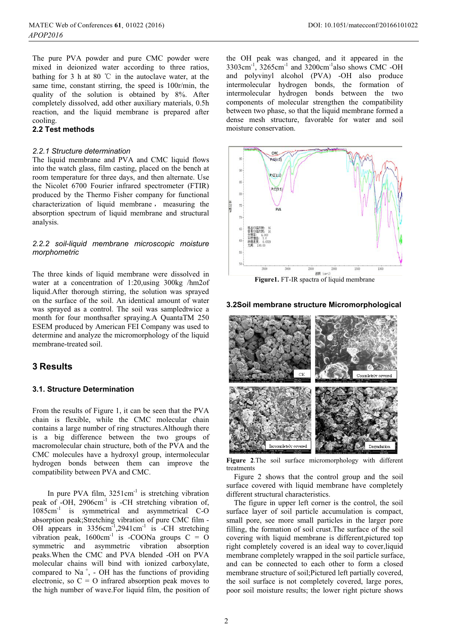The pure PVA powder and pure CMC powder were mixed in deionized water according to three ratios, bathing for 3 h at 80  $\degree$ C in the autoclave water, at the same time, constant stirring, the speed is 100r/min, the quality of the solution is obtained by 8%. After completely dissolved, add other auxiliary materials, 0.5h reaction, and the liquid membrane is prepared after cooling.

# **2.2 Test methods**

#### *2.2.1 Structure determination*

The liquid membrane and PVA and CMC liquid flows into the watch glass, film casting, placed on the bench at room temperature for three days, and then alternate. Use the Nicolet 6700 Fourier infrared spectrometer (FTIR) produced by the Thermo Fisher company for functional characterization of liquid membrane, measuring the absorption spectrum of liquid membrane and structural analysis.

#### *2.2.2 soil-liquid membrane microscopic moisture morphometric*

The three kinds of liquid membrane were dissolved in water at a concentration of 1:20,using 300kg /hm2of liquid.After thorough stirring, the solution was sprayed on the surface of the soil. An identical amount of water was sprayed as a control. The soil was sampledtwice a month for four monthsafter spraying.A QuantaTM 250 ESEM produced by American FEI Company was used to determine and analyze the micromorphology of the liquid membrane-treated soil.

# **3 Results**

#### **3.1. Structure Determination**

From the results of Figure 1, it can be seen that the PVA chain is flexible, while the CMC molecular chain contains a large number of ring structures.Although there is a big difference between the two groups of macromolecular chain structure, both of the PVA and the CMC molecules have a hydroxyl group, intermolecular hydrogen bonds between them can improve the compatibility between PVA and CMC.

In pure PVA film,  $3251 \text{cm}^{-1}$  is stretching vibration peak of -OH, 2906cm<sup>-1</sup> is -CH stretching vibration of, 1085cm<sup>-1</sup> is symmetrical and asymmetrical C-O absorption peak;Stretching vibration of pure CMC film - OH appears in  $3356 \text{cm}^{-1}$ , 2941cm<sup>-1</sup> is -CH stretching vibration peak,  $1600 \text{cm}^{-1}$  is -COONa groups  $C = 0$ symmetric and asymmetric vibration absorption peaks.When the CMC and PVA blended -OH on PVA molecular chains will bind with ionized carboxylate, compared to  $Na<sup>+</sup>$ , - OH has the functions of providing electronic, so  $C = O$  infrared absorption peak moves to the high number of wave.For liquid film, the position of

the OH peak was changed, and it appeared in the 3303cm-1, 3265cm-1 and 3200cm-1also shows CMC -OH and polyvinyl alcohol (PVA) -OH also produce intermolecular hydrogen bonds, the formation of intermolecular hydrogen bonds between the two components of molecular strengthen the compatibility between two phase, so that the liquid membrane formed a dense mesh structure, favorable for water and soil moisture conservation.



Figure1. FT-IR spactra of liquid membrane

#### **3.2Soil membrane structure Micromorphological**



**Figure 2**.The soil surface micromorphology with different treatments

Figure 2 shows that the control group and the soil surface covered with liquid membrane have completely different structural characteristics.

The figure in upper left corner is the control, the soil surface layer of soil particle accumulation is compact, small pore, see more small particles in the larger pore filling, the formation of soil crust.The surface of the soil covering with liquid membrane is different,pictured top right completely covered is an ideal way to cover,liquid membrane completely wrapped in the soil particle surface, and can be connected to each other to form a closed membrane structure of soil;Pictured left partially covered, the soil surface is not completely covered, large pores, poor soil moisture results; the lower right picture shows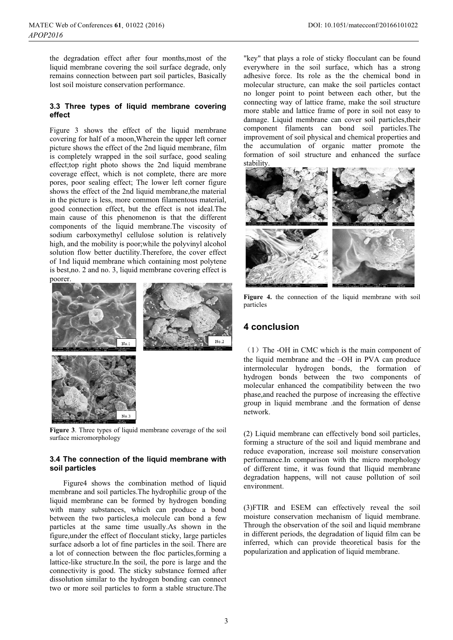the degradation effect after four months,most of the liquid membrane covering the soil surface degrade, only remains connection between part soil particles, Basically lost soil moisture conservation performance.

#### **3.3 Three types of liquid membrane covering effect**

Figure 3 shows the effect of the liquid membrane covering for half of a moon,Wherein the upper left corner picture shows the effect of the 2nd liquid membrane, film is completely wrapped in the soil surface, good sealing effect;top right photo shows the 2nd liquid membrane coverage effect, which is not complete, there are more pores, poor sealing effect; The lower left corner figure shows the effect of the 2nd liquid membrane,the material in the picture is less, more common filamentous material, good connection effect, but the effect is not ideal.The main cause of this phenomenon is that the different components of the liquid membrane.The viscosity of sodium carboxymethyl cellulose solution is relatively high, and the mobility is poor;while the polyvinyl alcohol solution flow better ductility.Therefore, the cover effect of 1nd liquid membrane which containing most polytene is best,no. 2 and no. 3, liquid membrane covering effect is poorer

![](_page_2_Figure_5.jpeg)

**Figure 3**. Three types of liquid membrane coverage of the soil surface micromorphology

### **3.4 The connection of the liquid membrane with soil particles**

Figure4 shows the combination method of liquid membrane and soil particles.The hydrophilic group of the liquid membrane can be formed by hydrogen bonding with many substances, which can produce a bond between the two particles,a molecule can bond a few particles at the same time usually.As shown in the figure,under the effect of flocculant sticky, large particles surface adsorb a lot of fine particles in the soil. There are a lot of connection between the floc particles,forming a lattice-like structure.In the soil, the pore is large and the connectivity is good. The sticky substance formed after dissolution similar to the hydrogen bonding can connect two or more soil particles to form a stable structure.The "key" that plays a role of sticky flocculant can be found everywhere in the soil surface, which has a strong adhesive force. Its role as the the chemical bond in molecular structure, can make the soil particles contact no longer point to point between each other, but the connecting way of lattice frame, make the soil structure more stable and lattice frame of pore in soil not easy to damage. Liquid membrane can cover soil particles,their component filaments can bond soil particles.The improvement of soil physical and chemical properties and the accumulation of organic matter promote the formation of soil structure and enhanced the surface stability.

![](_page_2_Figure_10.jpeg)

**Figure 4.** the connection of the liquid membrane with soil particles

# **4 conclusion**

 $(1)$  The -OH in CMC which is the main component of the liquid membrane and the –OH in PVA can produce intermolecular hydrogen bonds, the formation of hydrogen bonds between the two components of molecular enhanced the compatibility between the two phase,and reached the purpose of increasing the effective group in liquid membrane .and the formation of dense network.

(2) Liquid membrane can effectively bond soil particles, forming a structure of the soil and liquid membrane and reduce evaporation, increase soil moisture conservation performance.In comparison with the micro morphology of different time, it was found that lliquid membrane degradation happens, will not cause pollution of soil environment.

(3)FTIR and ESEM can effectively reveal the soil moisture conservation mechanism of liquid membrane. Through the observation of the soil and liquid membrane in different periods, the degradation of liquid film can be inferred, which can provide theoretical basis for the popularization and application of liquid membrane.